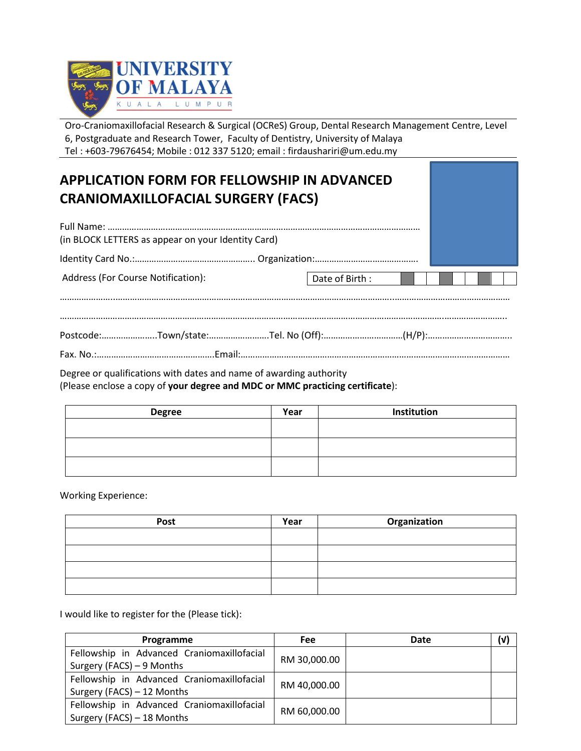

Oro-Craniomaxillofacial Research & Surgical (OCReS) Group, Dental Research Management Centre, Level 6, Postgraduate and Research Tower, Faculty of Dentistry, University of Malaya Tel : +603-79676454; Mobile : 012 337 5120; email : firdaushariri@um.edu.my

## **APPLICATION FORM FOR FELLOWSHIP IN ADVANCED CRANIOMAXILLOFACIAL SURGERY (FACS)**

| (in BLOCK LETTERS as appear on your Identity Card) |                |  |  |  |  |  |
|----------------------------------------------------|----------------|--|--|--|--|--|
|                                                    |                |  |  |  |  |  |
| <b>Address (For Course Notification):</b>          | Date of Birth: |  |  |  |  |  |
|                                                    |                |  |  |  |  |  |

Degree or qualifications with dates and name of awarding authority (Please enclose a copy of **your degree and MDC or MMC practicing certificate**):

| Year | Institution |
|------|-------------|
|      |             |
|      |             |
|      |             |
|      |             |
|      |             |

Working Experience:

| Post | Year | Organization |
|------|------|--------------|
|      |      |              |
|      |      |              |
|      |      |              |
|      |      |              |

I would like to register for the (Please tick):

| Programme                                  | Fee          | <b>Date</b> | (v) |
|--------------------------------------------|--------------|-------------|-----|
| Fellowship in Advanced Craniomaxillofacial | RM 30,000.00 |             |     |
| Surgery (FACS) - 9 Months                  |              |             |     |
| Fellowship in Advanced Craniomaxillofacial |              |             |     |
| Surgery (FACS) - 12 Months                 | RM 40,000.00 |             |     |
| Fellowship in Advanced Craniomaxillofacial |              |             |     |
| Surgery (FACS) - 18 Months                 | RM 60,000.00 |             |     |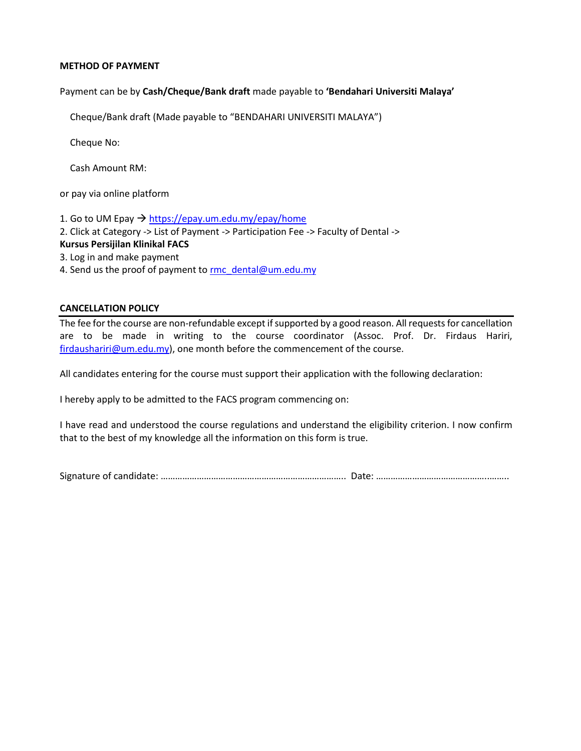## **METHOD OF PAYMENT**

Payment can be by **Cash/Cheque/Bank draft** made payable to **'Bendahari Universiti Malaya'**

Cheque/Bank draft (Made payable to "BENDAHARI UNIVERSITI MALAYA")

Cheque No:

Cash Amount RM:

or pay via online platform

1. Go to UM Epay  $\rightarrow$  <https://epay.um.edu.my/epay/home> 2. Click at Category -> List of Payment -> Participation Fee -> Faculty of Dental -> **Kursus Persijilan Klinikal FACS** 3. Log in and make payment 4. Send us the proof of payment to [rmc\\_dental@um.edu.my](rmc_dental@um.edu.my)

## **CANCELLATION POLICY**

The fee for the course are non-refundable except if supported by a good reason. All requests for cancellation are to be made in writing to the course coordinator (Assoc. Prof. Dr. Firdaus Hariri, [firdaushariri@um.edu.my\)](mailto:firdaushariri@um.edu.my), one month before the commencement of the course.

All candidates entering for the course must support their application with the following declaration:

I hereby apply to be admitted to the FACS program commencing on:

I have read and understood the course regulations and understand the eligibility criterion. I now confirm that to the best of my knowledge all the information on this form is true.

Signature of candidate: ………………………………………………………………….. Date: ………………………………………..……..